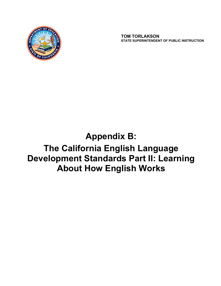

 **TOM TORLAKSON STATE SUPERINTENDENT OF PUBLIC INSTRUCTION**

# **Appendix B:**

## **The California English Language Development Standards Part II: Learning About How English Works**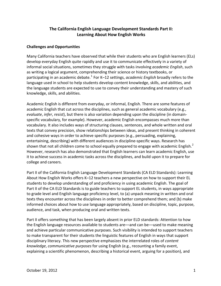## **The California English Language Development Standards Part II: Learning About How English Works**

#### **Challenges and Opportunities**

Many California teachers have observed that while their students who are English learners (ELs) develop everyday English quite rapidly and use it to communicate effectively in a variety of informal social situations, sometimes they struggle with tasks involving *academic English*, such as writing a logical argument, comprehending their science or history textbooks, or participating in an academic debate.<sup>1</sup> For K–12 settings, *academic English* broadly refers to the language used in school to help students develop content knowledge, skills, and abilities, and the language students are expected to use to convey their understanding and mastery of such knowledge, skills, and abilities.

Academic English is different from everyday, or informal, English. There are some features of academic English that cut across the disciplines, such as general academic vocabulary (e.g., *evaluate, infer, resist*), but there is also variation depending upon the discipline (in domainspecific vocabulary, for example). However, academic English encompasses much more than vocabulary. It also includes ways of structuring clauses, sentences, and whole written and oral texts that convey precision, show relationships between ideas, and present thinking in coherent and cohesive ways in order to achieve specific purposes (e.g., persuading, explaining, entertaining, describing) with different audiences in discipline-specific ways. Research has shown that not all children come to school equally prepared to engage with academic English.<sup>2</sup> However, research has also demonstrated that English learners can learn academic English, use it to achieve success in academic tasks across the disciplines, and build upon it to prepare for college and careers.

Part II of the California English Language Development Standards (CA ELD Standards): Learning About How English Works offers K–12 teachers a new perspective on how to support their EL students to develop understanding of and proficiency in using academic English. The goal of Part II of the CA ELD Standards is to guide teachers to support EL students, in ways appropriate to grade level and English language proficiency level, to (a) unpack meaning in written and oral texts they encounter across the disciplines in order to better comprehend them; and (b) make informed choices about how to use language appropriately, based on discipline, topic, purpose, audience, and task, when producing oral and written texts.

Part II offers something that has been largely absent in prior ELD standards: Attention to how the English language resources available to students are—and can be—used to make meaning and achieve particular communicative purposes. Such visibility is intended to support teachers to make transparent for their students the linguistic features of English in ways that support disciplinary literacy. This new perspective emphasizes the interrelated roles of *content knowledge*, *communicative purposes* for using English (e.g., recounting a family event, explaining a scientific phenomenon, describing a historical event, arguing for a position), and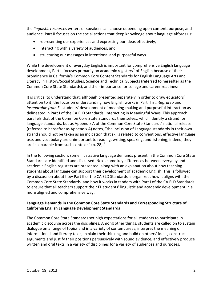the *linguistic resources* writers or speakers can choose depending upon content, purpose, and audience. Part II focuses on the social actions that deep knowledge about language affords us:

- representing our experiences and expressing our ideas effectively,
- $\bullet$  interacting with a variety of audiences, and
- structuring our messages in intentional and purposeful ways.

While the development of everyday English is important for comprehensive English language development, Part II focuses primarily on academic registers<sup>3</sup> of English because of their prominence in California's Common Core Content Standards for English Language Arts and Literacy in History/Social Studies, Science and Technical Subjects (referred to hereafter as the Common Core State Standards), and their importance for college and career readiness.

It is critical to understand that, although presented separately in order to draw educators' attention to it, the focus on understanding how English works in Part II is *integral to* and *inseparable from* EL students' development of meaning-making and purposeful interaction as delineated in Part I of the CA ELD Standards: Interacting in Meaningful Ways. This approach parallels that of the Common Core State Standards themselves, which identify a strand for language standards, but as Appendix A of the Common Core State Standards' national release (referred to hereafter as Appendix A) notes, "the inclusion of Language standards in their own strand should not be taken as an indication that skills related to conventions, effective language use, and vocabulary are unimportant to reading, writing, speaking, and listening; indeed, they are inseparable from such contexts" (p. 28). $4$ 

In the following section, some illustrative language demands present in the Common Core State Standards are identified and discussed. Next, some key differences between everyday and academic English registers are presented, along with an explanation about how teaching students about language can support their development of academic English. This is followed by a discussion about how Part II of the CA ELD Standards is organized, how it aligns with the Common Core State Standards, and how it works in tandem with Part I of the CA ELD Standards to ensure that all teachers support their EL students' linguistic and academic development in a more aligned and comprehensive way.

#### **Language Demands in the Common Core State Standards and Corresponding Structure of California English Language Development Standards**

The Common Core State Standards set high expectations for all students to participate in academic discourse across the disciplines. Among other things, students are called on to sustain dialogue on a range of topics and in a variety of content areas, interpret the meaning of informational and literary texts, explain their thinking and build on others' ideas, construct arguments and justify their positions persuasively with sound evidence, and effectively produce written and oral texts in a variety of disciplines for a variety of audiences and purposes.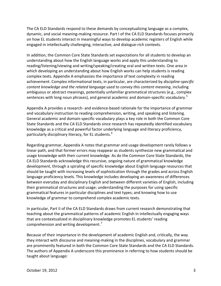The CA ELD Standards respond to these demands by conceptualizing language as a complex, dynamic, and social meaning-making resource. Part I of the CA ELD Standards focuses primarily on how EL students interact in meaningful ways to develop academic registers of English while engaged in intellectually challenging, interactive, and dialogue-rich contexts.

In addition, the Common Core State Standards set expectations for all students to develop an understanding about how the English language works and apply this understanding to reading/listening/viewing and writing/speaking/creating oral and written texts. One area in which developing an understanding about how English works can help students is reading complex texts. Appendix A emphasizes the importance of text complexity in reading achievement. Complex informational texts, in particular, are characterized by *discipline-specific content knowledge and the related language used to convey this content meaning*, including ambiguous or abstract meanings, potentially unfamiliar grammatical structures (e.g., complex sentences with long noun phrases), and general academic and domain-specific vocabulary.<sup>5</sup>

Appendix A provides a research- and evidence-based rationale for the importance of grammar and vocabulary instruction to reading comprehension, writing, and speaking and listening. General academic and domain-specific vocabulary plays a key role in both the Common Core State Standards and the CA ELD Standards since research has repeatedly identified vocabulary knowledge as a critical and powerful factor underlying language and literacy proficiency, particularly disciplinary literacy, for EL students.<sup>6</sup>

Regarding grammar, Appendix A notes that grammar and usage development rarely follows a linear path, and that former errors may reappear as students synthesize new grammatical and usage knowledge with their current knowledge. As do the Common Core State Standards, the CA ELD Standards acknowledge this recursive, ongoing nature of grammatical knowledge development, through a spiraling of specific knowledge about English language resources that should be taught with increasing levels of sophistication through the grades and across English language proficiency levels. This knowledge includes developing an awareness of differences between everyday and disciplinary English and between different varieties of English, including their grammatical structures and usage; understanding the purposes for using specific grammatical features in particular disciplines and text types; and knowing how to use knowledge of grammar to comprehend complex academic texts.

In particular, Part II of the CA ELD Standards draws from current research demonstrating that teaching about the grammatical patterns of academic English in intellectually engaging ways that are contextualized in disciplinary knowledge promotes EL students' reading comprehension and writing development.<sup>7</sup>

Because of their importance in the development of academic English and, critically, the way they interact with discourse and meaning-making in the disciplines, vocabulary and grammar are prominently featured in both the Common Core State Standards and the CA ELD Standards. The authors of Appendix A underscore this prominence in referring to how students should be taught about language: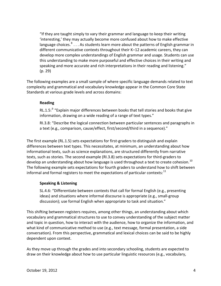"If they are taught simply to vary their grammar and language to keep their writing 'interesting,' they may actually become more confused about how to make effective language choices. $8...$  As students learn more about the patterns of English grammar in different communicative contexts throughout their K–12 academic careers, they can develop more complex understandings of English grammar and usage. Students can use this understanding to make more purposeful and effective choices in their writing and speaking and more accurate and rich interpretations in their reading and listening." (p. 29)

The following examples are a small sample of where specific language demands related to text complexity and grammatical and vocabulary knowledge appear in the Common Core State Standards at various grade levels and across domains:

#### **Reading**

RL.1.5: $9$  "Explain major differences between books that tell stories and books that give information, drawing on a wide reading of a range of text types."

RI.3.8: "Describe the logical connection between particular sentences and paragraphs in a text (e.g., comparison, cause/effect, first/second/third in a sequence)."

The first example (RL.1.5) sets expectations for first-graders to distinguish and explain differences between text types. This necessitates, at minimum, an understanding about how informational texts, such as science explanations, are structured differently from narrative texts, such as stories. The second example (RI.3.8) sets expectations for third-graders to develop an understanding about how language is used throughout a text to create cohesion.<sup>10</sup> The following example sets expectations for fourth graders to understand how to shift between informal and formal registers to meet the expectations of particular contexts: $^{11}$ 

#### **Speaking & Listening**

SL.4.6: "Differentiate between contexts that call for formal English (e.g., presenting ideas) and situations where informal discourse is appropriate (e.g., small-group discussion); use formal English when appropriate to task and situation."

This shifting between registers requires, among other things, an understanding about which vocabulary and grammatical structures to use to convey understanding of the subject matter and topic in question, how to interact with the audience, how to organize the information, and what kind of communicative method to use (e.g., text message, formal presentation, a side conversation). From this perspective, grammatical and lexical choices can be said to be highly dependent upon context.

As they move up through the grades and into secondary schooling, students are expected to draw on their knowledge about how to use particular linguistic resources (e.g., vocabulary,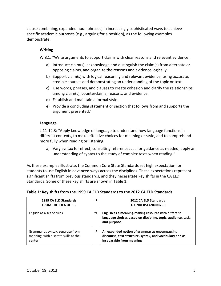clause combining, expanded noun phrases) in increasingly sophisticated ways to achieve specific academic purposes (e.g., arguing for a position), as the following examples demonstrate:

#### **Writing**

W.8.1: "Write arguments to support claims with clear reasons and relevant evidence.

- a) Introduce claim(s), acknowledge and distinguish the claim(s) from alternate or opposing claims, and organize the reasons and evidence logically.
- b) Support claim(s) with logical reasoning and relevant evidence, using accurate, credible sources and demonstrating an understanding of the topic or text.
- c) Use words, phrases, and clauses to create cohesion and clarify the relationships among claim(s), counterclaims, reasons, and evidence.
- d) Establish and maintain a formal style.
- e) Provide a concluding statement or section that follows from and supports the argument presented."

#### **Language**

L.11-12.3: "Apply knowledge of language to understand how language functions in different contexts, to make effective choices for meaning or style, and to comprehend more fully when reading or listening.

a) Vary syntax for effect, consulting references . . . for guidance as needed; apply an understanding of syntax to the study of complex texts when reading."

As these examples illustrate, the Common Core State Standards set high expectation for students to use English in advanced ways across the disciplines. These expectations represent significant shifts from previous standards, and they necessitate key shifts in the CA ELD Standards. Some of these key shifts are shown in Table 1.

#### **Table 1: Key shifts from the 1999 CA ELD Standards to the 2012 CA ELD Standards**

| 1999 CA ELD Standards<br><b>FROM THE IDEA OF </b>                                  | → | 2012 CA ELD Standards<br>TO UNDERSTANDING                                                                                             |
|------------------------------------------------------------------------------------|---|---------------------------------------------------------------------------------------------------------------------------------------|
| English as a set of rules                                                          | → | English as a meaning-making resource with different<br>language choices based on discipline, topic, audience, task,<br>and purpose    |
| Grammar as syntax, separate from<br>meaning, with discrete skills at the<br>center | → | An expanded notion of grammar as encompassing<br>discourse, text structure, syntax, and vocabulary and as<br>inseparable from meaning |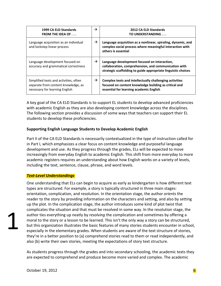| 1999 CA ELD Standards<br><b>FROM THE IDEA OF </b>                                                               | $\rightarrow$ | <b>2012 CA ELD Standards</b><br>TO UNDERSTANDING                                                                                                                      |
|-----------------------------------------------------------------------------------------------------------------|---------------|-----------------------------------------------------------------------------------------------------------------------------------------------------------------------|
| Language acquisition as an individual<br>and lockstep linear process                                            | $\rightarrow$ | Language acquisition as a nonlinear, spiraling, dynamic, and<br>complex social process where meaningful interaction with<br>others is essential                       |
| Language development focused on<br>accuracy and grammatical correctness                                         | $\rightarrow$ | Language development focused on interaction,<br>collaboration, comprehension, and communication with<br>strategic scaffolding to guide appropriate linguistic choices |
| Simplified texts and activities, often<br>separate from content knowledge, as<br>necessary for learning English | $\rightarrow$ | Complex texts and intellectually challenging activities<br>focused on content knowledge building as critical and<br>essential for learning academic English           |

A key goal of the CA ELD Standards is to support EL students to develop advanced proficiencies with academic English as they are also developing content knowledge across the disciplines. The following section provides a discussion of some ways that teachers can support their EL students to develop these proficiencies.

#### **Supporting English Language Students to Develop Academic English**

Part II of the CA ELD Standards is necessarily contextualized in the type of instruction called for in Part I, which emphasizes a clear focus on content knowledge and purposeful language development and use. As they progress through the grades, ELs will be expected to move increasingly from everyday English to academic English. This shift from more everyday to more academic registers requires an understanding about how English works on a variety of levels, including the text, sentence, clause, phrase, and word levels.

#### *TextͲLevel Understandings*

One understanding that ELs can begin to acquire as early as kindergarten is how different text types are structured. For example, a story is typically structured in three main stages: orientation, complication, and resolution. In the orientation stage, the author *orients* the reader to the story by providing information on the characters and setting, and also by setting up the plot. In the complication stage, the author introduces some kind of plot twist that complicates the situation and that must be resolved in some way. In the resolution stage, the author ties everything up neatly by *resolving* the complication and sometimes by offering a moral to the story or a lesson to be learned. This isn't the only way a story can be structured, but this organization illustrates the basic features of many stories students encounter in school, especially in the elementary grades. When students are aware of the text structure of stories, they're in a better position to (a) comprehend stories read to them or read independently, and also (b) write their own stories, meeting the expectations of story text structure.

As students progress through the grades and into secondary schooling, the academic texts they are expected to comprehend and produce become more varied and complex. The academic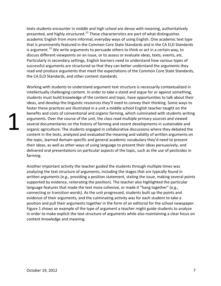texts students encounter in middle and high school are dense with meaning, authoritatively presented, and highly structured.<sup>12</sup> These characteristics are part of what distinguishes academic English from more informal, everyday ways of using English. One academic text type that is prominently featured in the Common Core State Standards and in the CA ELD Standards is argument.<sup>13</sup> We write arguments to persuade others to think or act in a certain way, to discuss different viewpoints on an issue, or to assess or evaluate ideas, texts, events, etc. Particularly in secondary settings, English learners need to understand how various types of successful arguments are structured so that they can better understand the arguments they read and produce arguments that meet the expectations of the Common Core State Standards, the CA ELD Standards, and other content standards.

Working with students to understand argument text structure is necessarily contextualized in intellectually challenging content. In order to take a stand and argue for or against something, students must build knowledge of the content and topic, have opportunities to talk about their ideas, and develop the linguistic resources they'll need to convey their thinking. Some ways to foster these practices are illustrated in a unit a middle school English teacher taught on the benefits and costs of conventional and organic farming, which culminated with students writing arguments. Over the course of the unit, the class read multiple primary sources and viewed several documentaries on the history of farming and recent developments in sustainable and organic agriculture. The students engaged in collaborative discussions where they debated the content in the texts, analyzed and evaluated the meaning and validity of written arguments on the topic, learned domain-specific and general academic vocabulary they'd need to present their ideas, as well as other ways of using language to present their ideas persuasively, and delivered oral presentations on particular aspects of the topic, such as the use of pesticides in farming.

Another important activity the teacher guided the students through multiple times was analyzing the text structure of arguments, including the stages that are typically found in written arguments (e.g., providing a position statement, stating the issue, making several points supported by evidence, reiterating the position). The teacher also highlighted the particular language features that made the text more cohesive, or made it "hang together" (e.g., connecting or transition words). As the unit progressed, students built up the points and evidence of their arguments, and the culminating activity was for each student to take a position and pull their arguments together in the form of an editorial for the school newspaper. Figure 1 shows an example of the type of argument a teacher might guide students to analyze in order to make explicit the text structure of arguments while also maintaining a clear focus on content knowledge and meaning.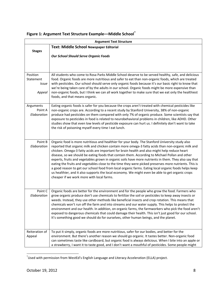| <b>Argument Text Structure</b>           |                                                                                                                                                                                                                                                                                                                                                                                                                                                                                                                                                                                                                                                                                                                                                                                                                                                                                   |  |  |  |  |
|------------------------------------------|-----------------------------------------------------------------------------------------------------------------------------------------------------------------------------------------------------------------------------------------------------------------------------------------------------------------------------------------------------------------------------------------------------------------------------------------------------------------------------------------------------------------------------------------------------------------------------------------------------------------------------------------------------------------------------------------------------------------------------------------------------------------------------------------------------------------------------------------------------------------------------------|--|--|--|--|
|                                          | Text: Middle School Newspaper Editorial                                                                                                                                                                                                                                                                                                                                                                                                                                                                                                                                                                                                                                                                                                                                                                                                                                           |  |  |  |  |
| <b>Stages</b>                            | <b>Our School Should Serve Organic Foods</b>                                                                                                                                                                                                                                                                                                                                                                                                                                                                                                                                                                                                                                                                                                                                                                                                                                      |  |  |  |  |
|                                          |                                                                                                                                                                                                                                                                                                                                                                                                                                                                                                                                                                                                                                                                                                                                                                                                                                                                                   |  |  |  |  |
|                                          |                                                                                                                                                                                                                                                                                                                                                                                                                                                                                                                                                                                                                                                                                                                                                                                                                                                                                   |  |  |  |  |
| Position<br>Statement<br>Issue<br>Appeal | All students who come to Rosa Parks Middle School deserve to be served healthy, safe, and delicious<br>food. Organic foods are more nutritious and safer to eat than non-organic foods, which are treated<br>with pesticides. Our school should serve only organic foods because it's our basic right to know that<br>we're being taken care of by the adults in our school. Organic foods might be more expensive than<br>non-organic foods, but I think we can all work together to make sure that we eat only the healthiest<br>foods, and that means organic.                                                                                                                                                                                                                                                                                                                 |  |  |  |  |
| Arguments<br>Point A<br>Elaboration      | Eating organic foods is safer for you because the crops aren't treated with chemical pesticides like<br>non-organic crops are. According to a recent study by Stanford University, 38% of non-organic<br>produce had pesticides on them compared with only 7% of organic produce. Some scientists say that<br>exposure to pesticides in food is related to neurobehavioral problems in children, like ADHD. Other<br>studies show that even low levels of pesticide exposure can hurt us. I definitely don't want to take<br>the risk of poisoning myself every time I eat lunch.                                                                                                                                                                                                                                                                                                 |  |  |  |  |
| Point B<br>Elaboration                   | Organic food is more nutritious and healthier for your body. The Stanford University study also<br>reported that organic milk and chicken contain more omega-3 fatty acids than non-organic milk and<br>chicken. Omega-3 fatty acids are important for brain health and also might help reduce heart<br>disease, so we should be eating foods that contain them. According to Michael Pollan and other<br>experts, fruits and vegetables grown in organic soils have more nutrients in them. They also say that<br>eating the fruits and vegetables close to the time they were picked preserves more nutrients. This is<br>a good reason to get our school food from local organic farms. Eating local organic foods helps keep<br>us healthier, and it also supports the local economy. We might even be able to get organic crops<br>cheaper if we work more with local farms. |  |  |  |  |
| Point C<br>Elaboration                   | Organic foods are better for the environment and for the people who grow the food. Farmers who<br>grow organic produce don't use chemicals to fertilize the soil or pesticides to keep away insects or<br>weeds. Instead, they use other methods like beneficial insects and crop rotation. This means that<br>chemicals won't run off the farm and into streams and our water supply. This helps to protect the<br>environment and our health. In addition, on organic farms, the farmworkers who pick the food aren't<br>exposed to dangerous chemicals that could damage their health. This isn't just good for our school.<br>It's something good we should do for ourselves, other human beings, and the planet.                                                                                                                                                             |  |  |  |  |
| Reiteration of<br>Appeal                 | To put it simply, organic foods are more nutritious, safer for our bodies, and better for the<br>environment. But there's another reason we should go organic. It tastes better. Non-organic food<br>can sometimes taste like cardboard, but organic food is always delicious. When I bite into an apple or<br>a strawberry, I want it to taste good, and I don't want a mouthful of pesticides. Some people might                                                                                                                                                                                                                                                                                                                                                                                                                                                                |  |  |  |  |

## **Figure 1: Argument Text Structure Example––Middle School\***

\* Used with permission from WestEd's English Language and Literacy Acceleration (ELLA) project.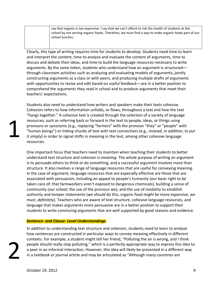say that organic is too expensive. I say that we can't afford to risk the health of students at this school by not serving organic foods. Therefore, we must find a way to make organic foods part of our school lunches.

Clearly, this type of writing requires time for students to develop. Students need time to learn and interpret the content, time to analyze and evaluate the content of arguments, time to discuss and debate their ideas, and time to build the language resources necessary to write arguments. By the same token, students who understand how an argument is structured–– through classroom activities such as analyzing and evaluating models of arguments, jointly constructing arguments as a class or with peers, and producing multiple drafts of arguments with opportunities to revise and edit based on useful feedback––are in a better position to comprehend the arguments they read in school and to produce arguments that meet their teachers' expectations.

Students also need to understand how writers and speakers make their texts cohesive. Cohesion refers to how information unfolds, or flows, throughout a text and how the text "hangs together." A cohesive text is created through the selection of a variety of language resources, such as referring back or forward in the text to people, ideas, or things using pronouns or synonyms (e.g., replacing "farmers" with the pronoun "they" or "people" with "human beings") or linking chunks of text with text connectives (e.g., *instead*, *in addition*, *to put it simply*) in order to signal shifts in meaning in the text, among other cohesive language resources.

One important focus that teachers need to maintain when teaching their students to better understand text structure and cohesion is *meaning*. The whole purpose of writing an argument is to persuade others to think or do something, and a successful argument involves more than structure. It also involves a range of language resources that are useful for conveying meaning. In the case of argument, language resources that are especially effective are those that are associated with persuasion, including an appeal to people's humanity (*our* basic right to be taken care of; that farmworkers aren't exposed to dangerous chemicals), building a sense of community (*our school*; the use of the pronoun we), and the use of modality to establish authority and temper statements (*we should* do this, organic food *might be* more expensive, *we must*, *definitely*). Teachers who are aware of text structure, cohesive language resources, and language that makes arguments more persuasive are in a better position to support their students to write convincing arguments that are well supported by good reasons and evidence.

#### *SentenceͲand ClauseͲLevel Understandings*

In addition to understanding text structure and cohesion, students need to learn to analyze how sentences are constructed in particular ways to convey meaning effectively in different contexts. For example, a student might tell her friend, "Polluting the air is wrong, and I think people should really stop polluting," which is a perfectly appropriate way to express this idea to a peer in an informal interaction. However, this idea will likely be presented in a different way in a textbook or journal article and may be articulated as "Although many countries are

1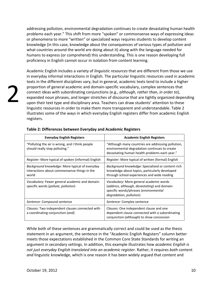addressing pollution, environmental degradation continues to create devastating human health problems each year." This shift from more "spoken" or commonsense ways of expressing ideas or phenomena to more "written" or specialized ways requires students to develop content knowledge (in this case, knowledge about the consequences of various types of pollution and what countries around the world are doing about it) along with the language needed for humans to express (or comprehend) this understanding. This is one reason developing full proficiency in English cannot occur in isolation from content learning.

Academic English includes a variety of *linguistic resources* that are different from those we use in everyday informal interactions in English. The particular linguistic resources used in academic texts in the different disciplines vary, but in general, academic texts tend to include a higher proportion of general academic and domain-specific vocabulary, complex sentences that connect ideas with subordinating conjunctions (e.g., *although*, *rather than*, *in order to*), expanded noun phrases, and longer stretches of discourse that are tightly organized depending upon their text type and disciplinary area. Teachers can draw students' attention to these linguistic resources in order to make them more transparent and understandable. Table 2 illustrates some of the ways in which everyday English registers differ from academic English registers.

| <b>Everyday English Registers</b>                                                                       | <b>Academic English Registers</b>                                                                                                                           |
|---------------------------------------------------------------------------------------------------------|-------------------------------------------------------------------------------------------------------------------------------------------------------------|
| "Polluting the air is wrong, and I think people<br>should really stop polluting."                       | "Although many countries are addressing pollution,<br>environmental degradation continues to create<br>devastating human health problems each year."        |
| <i>Register:</i> More typical of spoken (informal) English                                              | <i>Register:</i> More typical of written (formal) English                                                                                                   |
| Background knowledge: More typical of everyday<br>interactions about commonsense things in the<br>world | Background knowledge: Specialized or content-rich<br>knowledge about topics, particularly developed<br>through school experiences and wide reading          |
| Vocabulary: Fewer general academic and domain-<br>specific words (pollute, pollution)                   | Vocabulary: More general academic words<br>(address, although, devastating) and domain-<br>specific words/phrases (environmental<br>degradation, pollution) |
| Sentence: Compound sentence                                                                             | Sentence: Complex sentence                                                                                                                                  |
| Clauses: Two independent clauses connected with<br>a coordinating conjunction (and)                     | Clauses: One independent clause and one<br>dependent clause connected with a subordinating<br>conjunction (although) to show concession                     |

#### **Table 2: Differences between Everyday and Academic Registers**

While both of these sentences are grammatically correct and could be used as the thesis statement in an argument, the sentence in the "Academic English Registers" column better meets those expectations established in the Common Core State Standards for writing an argument in secondary settings. In addition, this example illustrates how *academic English is not just everyday English translated into an academic register*. Rather, it requires *both* content *and* linguistic knowledge, which is one reason it has been widely argued that content and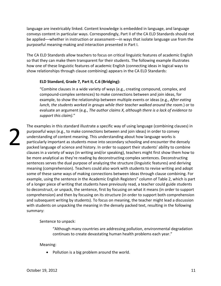language are inextricably linked. Content knowledge is embedded in language, and language conveys content in particular ways. Correspondingly, Part II of the CA ELD Standards should not be applied––whether in instruction or assessment––in ways that isolate language use from the purposeful meaning-making and interaction presented in Part I.

The CA ELD Standards allow teachers to focus on critical linguistic features of academic English so that they can make them transparent for their students. The following example illustrates how one of these linguistic features of academic English (connecting ideas in logical ways to show relationships through clause combining) appears in the CA ELD Standards:

#### **ELD Standard, Grade 7, Part II, C.6 (Bridging):**

"Combine clauses in a wide variety of ways (e.g., creating compound, complex, and compound-complex sentences) to make connections between and join ideas, for example, to show the relationship between multiple events or ideas (e.g., *After eating lunch, the students worked in groups while their teacher walked around the room.*) or to evaluate an argument (e.g., *The author claims X, although there is a lack of evidence to support this claim).*"

2

The examples in this standard illustrate a specific way of using language (combining clauses) in purposeful ways (e.g., to make connections between and join ideas) in order to convey understanding of content meaning. This understanding about how language works is particularly important as students move into secondary schooling and encounter the densely packed language of science and history. In order to support their students' ability to combine clauses in a variety of ways (in writing and/or speaking), teachers might first show them how to be more analytical as they're reading by deconstructing complex sentences. Deconstructing sentences serves the dual purpose of analyzing the structure (linguistic features) and deriving meaning (comprehension). Teachers could also work with students to revise writing and adopt some of these same ways of making connections between ideas through clause combining. For example, using the sentence in the Academic English Registers" column of Table 2, which is part of a longer piece of writing that students have previously read, a teacher could guide students to deconstruct, or unpack, the sentence, first by focusing on what it means (in order to support comprehension) and then by focusing on its structure (in order to support both comprehension and subsequent writing by students). To focus on meaning, the teacher might lead a discussion with students on unpacking the meaning in the densely packed text, resulting in the following summary:

Sentence to unpack:

"Although many countries are addressing pollution, environmental degradation continues to create devastating human health problems each year."

Meaning:

 $\bullet$  Pollution is a big problem around the world.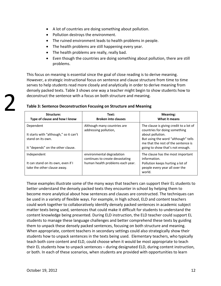- A lot of countries are doing something about pollution.
- Pollution destroys the environment.
- The ruined environment leads to health problems in people.
- $\bullet$  The health problems are still happening every year.
- $\bullet$  The health problems are really, really bad.
- Even though the countries are doing something about pollution, there are still problems.

This focus on meaning is essential since the goal of close reading is to derive meaning. However, a strategic instructional focus on sentence and clause structure from time to time serves to help students read more closely and analytically in order to derive meaning from densely packed texts. Table 3 shows one way a teacher might begin to show students how to deconstruct the sentence with a focus on both structure and meaning.

| Structure:<br>Type of clause and how I know                                                                   | Text:<br><b>Broken into clauses</b>                                                              | <b>Meaning:</b><br>What it means                                                                                                                                                                               |
|---------------------------------------------------------------------------------------------------------------|--------------------------------------------------------------------------------------------------|----------------------------------------------------------------------------------------------------------------------------------------------------------------------------------------------------------------|
| Dependent<br>It starts with "although," so it can't<br>stand on its own.<br>It "depends" on the other clause. | Although many countries are<br>addressing pollution,                                             | The clause is giving credit to a lot of<br>countries for doing something<br>about pollution.<br>But using the word "although" tells<br>me that the rest of the sentence is<br>going to show that's not enough. |
| Independent<br>It can stand on its own, even if I<br>take the other clause away.                              | environmental degradation<br>continues to create devastating<br>human health problems each year. | The clause has the most important<br>information.<br>Pollution keeps hurting a lot of<br>people every year all over the<br>world.                                                                              |

#### **Table 3: Sentence Deconstruction Focusing on Structure and Meaning**

These examples illustrate some of the many ways that teachers can support their EL students to better understand the densely packed texts they encounter in school by helping them to become more analytical about how sentences and clauses are constructed. The techniques can be used in a variety of flexible ways. For example, in high school, ELD and content teachers could work together to collaboratively identify densely packed sentences in academic subject matter texts being used, sentences that could make it difficult for students to understand the content knowledge being presented. During ELD instruction, the ELD teacher could support EL students to manage these language challenges and better comprehend these texts by guiding them to unpack these densely packed sentences, focusing on both structure and meaning. When appropriate, content teachers in secondary settings could also strategically show their students how to unpack sentences in the texts being used. Elementary teachers, who typically teach both core content and ELD, could choose when it would be most appropriate to teach their EL students how to unpack sentences – during designated ELD, during content instruction, or both. In each of these scenarios, when students are provided with opportunities to learn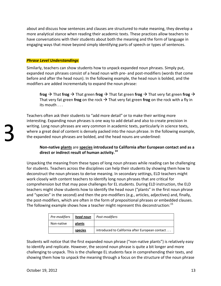about and discuss how sentences and clauses are structured to make meaning, they develop a more analytical stance when reading their academic texts. These practices allow teachers to have conversations with their students about both the meaning and the form of language in engaging ways that move beyond simply identifying parts of speech or types of sentences.

#### *Phrase Level Understandings*

Similarly, teachers can show students how to unpack expanded noun phrases. Simply put, expanded noun phrases consist of a head noun with pre- and post-modifiers (words that come before and after the head noun). In the following example, the head noun is bolded, and the modifiers are added incrementally to expand the noun phrase:

**frog**  $\rightarrow$  That **frog**  $\rightarrow$  That green **frog**  $\rightarrow$  That fat green **frog**  $\rightarrow$  That very fat green **frog**  $\rightarrow$ That very fat green **frog** on the rock  $\rightarrow$  That very fat green **frog** on the rock with a fly in its mouth . . .

Teachers often ask their students to "add more detail" or to make their writing more interesting. Expanding noun phrases is one way to add detail and also to create precision in writing. Long noun phrases are very common in academic texts, particularly in science texts, where a great deal of content is densely packed into the noun phrase. In the following example, the expanded noun phrases are bolded, and the head nouns are underlined:

#### **NonͲnative plants** are **species introduced to California after European contact and as a direct or indirect result of human activity.<sup>14</sup>**

Unpacking the meaning from these types of long noun phrases while reading can be challenging for students. Teachers across the disciplines can help their students by showing them how to deconstruct the noun phrases to derive meaning. In secondary settings, ELD teachers might work closely with content teachers to identify long noun phrases that are critical for comprehension but that may pose challenges for EL students. During ELD instruction, the ELD teachers might show students how to identify the head noun ("plants" in the first noun phrase and "species" in the second) and then the pre-modifiers (e.g., articles, adjectives) and, finally, the post-modifiers, which are often in the form of prepositional phrases or embedded clauses. The following example shows how a teacher might represent this deconstruction:<sup>15</sup>

| Pre-modifiers | head noun | Post-modifiers                                  |
|---------------|-----------|-------------------------------------------------|
| Non-native    | plants    |                                                 |
|               | species   | introduced to California after European contact |

Students will notice that the first expanded noun phrase ("non-native plants") is relatively easy to identify and replicate. However, the second noun phrase is quite a bit longer and more challenging to unpack. This is the challenge EL students face in comprehending their texts, and showing them how to unpack the meaning through a focus on the structure of the noun phrase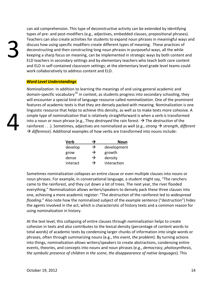3

4

can aid comprehension. This type of deconstructive activity can be extended by identifying types of pre- and post-modifiers (e.g., adjectives, embedded clauses, prepositional phrases). Teachers can also create activities for students to expand noun phrases in meaningful ways and discuss how using specific modifiers create different types of meaning. These practices of deconstructing and then constructing long noun phrases in purposeful ways, all the while keeping a sharp focus on meaning, can be implemented in strategic ways by both content and ELD teachers in secondary settings and by elementary teachers who teach both core content and ELD in self-contained classroom settings; at the elementary level grade level teams could work collaboratively to address content and ELD.

#### *Word Level Understandings*

*Nominalization*: In addition to learning the meanings of and using general academic and domain-specific vocabulary<sup>16</sup> in context, as students progress into secondary schooling, they will encounter a special kind of language resource called *nominalization*. One of the prominent features of academic texts is that they are densely packed with meaning. Nominalization is one linguistic resource that helps to achieve this density, as well as to make texts more cohesive. A simple type of nominalization that is relatively straightforward is when a verb is transformed into a noun or noun phrase (e.g., They *destroyed* the rain forest.  $\rightarrow$  The *destruction* of the rainforest  $\dots$ ). Sometimes, adjectives are nominalized as well (e.g., *strong*  $\rightarrow$  *strength*, *different*  $\rightarrow$  *difference*). Additional examples of how verbs are transformed into nouns include:

| <b>Verb</b> | →             | Noun        |
|-------------|---------------|-------------|
| develop     | $\rightarrow$ | development |
| grow        | →             | growth      |
| dense       | $\rightarrow$ | density     |
| interact    | →             | interaction |

Sometimes nominalization collapses an entire clause or even multiple clauses into nouns or noun phrases. For example, in conversational language, a student might say, "The ranchers came to the rainforest, and they cut down a lot of trees. The next year, the river flooded everything." Nominalization allows writers/speakers to densely pack these three clauses into one, achieving a more academic register: "The *destruction* of the rainforest led to *widespread flooding*." Also note how the nominalized subject of the example sentence ("destruction") hides the agents involved in the act, which is characteristic of history texts and a common reason for using nominalization in history.

At the text level, this collapsing of entire clauses through nominalization helps to create cohesion in texts and also contributes to the lexical density (percentage of content words to total words) of academic texts by condensing larger chunks of information into single words or phrases, often through summarizing nouns (e.g., *this event*, *the problem*). By turning actions into things, nominalization allows writers/speakers to create abstractions, condensing entire events, theories, and concepts into nouns and noun phrases (e.g., *democracy*, *photosynthesis*, *the symbolic presence of children in the scene*, *the disappearance of native languages*). This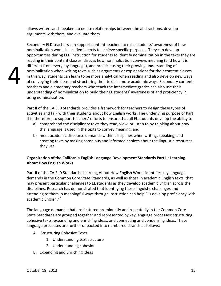allows writers and speakers to create relationships between the abstractions, develop arguments with them, and evaluate them.

Secondary ELD teachers can support content teachers to raise students' awareness of how nominalization works in academic texts to achieve specific purposes. They can develop opportunities during ELD instruction for students to identify nominalization in the texts they are reading in their content classes, discuss how nominalization conveys meaning (and how it is different from everyday language), and practice using their growing understanding of nominalization when writing texts such as arguments or explanations for their content classes. In this way, students can learn to be more analytical when reading and also develop new ways of conveying their ideas and structuring their texts in more academic ways. Secondary content teachers and elementary teachers who teach the intermediate grades can also use their understanding of nominalization to build their EL students' awareness of and proficiency in using nominalization.

Part II of the CA ELD Standards provides a framework for teachers to design these types of activities and talk with their students about how English works. The underlying purpose of Part II is, therefore, to support teachers' efforts to ensure that all EL students develop the ability to:

- a) comprehend the disciplinary texts they read, view, or listen to by thinking about how the language is used in the texts to convey meaning; and
- b) meet academic discourse demands within disciplines when writing, speaking, and creating texts by making conscious and informed choices about the linguistic resources they use.

### **Organization of the California English Language Development Standards Part II: Learning About How English Works**

Part II of the CA ELD Standards: Learning About How English Works identifies key language demands in the Common Core State Standards, as well as those in academic English texts, that may present particular challenges to EL students as they develop academic English across the disciplines. Research has demonstrated that identifying these linguistic challenges and attending to them in meaningful ways through instruction can help ELs develop proficiency with academic English.<sup>17</sup>

The language demands that are featured prominently and repeatedly in the Common Core State Standards are grouped together and represented by key language processes: structuring cohesive texts, expanding and enriching ideas, and connecting and condensing ideas. These language processes are further unpacked into numbered strands as follows:

- A. Structuring Cohesive Texts
	- 1. Understanding text structure
	- 2. Understanding cohesion
- B. Expanding and Enriching Ideas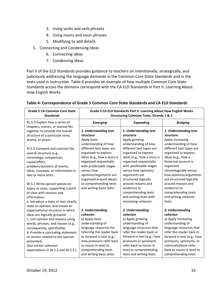- 3. Using verbs and verb phrases
- 4. Using nouns and noun phrases
- 5. Modifying to add details
- C. Connecting and Condensing Ideas
	- 6. Connecting ideas
	- 7. Condensing ideas

Part II of the ELD Standards provides guidance to teachers on intentionally, strategically, and judiciously addressing the language demands in the Common Core State Standards and in the texts used in instruction. Table 4 provides an example of how multiple Common Core State Standards across the domains correspond with the CA ELD Standards in Part II: Learning About How English Works.

| <b>Grade 5 CA Common Core State</b><br><b>Standards</b>             | Grade 5 CA ELD Standards Part II: Learning About How English Works<br><b>Structuring Cohesive Texts, Strands 1 &amp; 2</b> |                             |                            |
|---------------------------------------------------------------------|----------------------------------------------------------------------------------------------------------------------------|-----------------------------|----------------------------|
| RL.5.5 Explain how a series of<br>chapters, scenes, or stanzas fits | <b>Emerging</b>                                                                                                            | <b>Expanding</b>            | <b>Bridging</b>            |
| together to provide the overall                                     | 1. Understanding text                                                                                                      | 1. Understanding text       | 1. Understanding text      |
| structure of a particular story,                                    | structure                                                                                                                  | structure                   | structure                  |
| drama, or poem.                                                     | Apply basic                                                                                                                | Apply growing               | Apply increasing           |
|                                                                     | understanding of how                                                                                                       | understanding of how        | understanding of how       |
| RI.5.5 Compare and contrast the                                     | different text types are                                                                                                   | different text types are    | different text types are   |
| overall structure (e.g.,                                            | organized to express                                                                                                       | organized to express        | organized to express       |
| chronology, comparison,                                             | ideas (e.g., how a story is                                                                                                | ideas (e.g., how a story is | ideas (e.g., how a         |
| cause/effect,                                                       | organized sequentially                                                                                                     | organized sequentially      | historical account is      |
| problem/solution) of events,                                        | with predictable stages                                                                                                    | with predictable stages     | organized                  |
| ideas, concepts, or information in                                  | versus how                                                                                                                 | versus how opinions/        | chronologically versus     |
| two or more texts.                                                  | opinions/arguments are                                                                                                     | arguments are               | how opinions/arguments     |
|                                                                     | organized around ideas)                                                                                                    | structured logically        | are structured logically   |
| W.5.1 Write opinion pieces on                                       | to comprehending texts                                                                                                     | around reasons and          | around reasons and         |
| topics or texts, supporting a point                                 | and writing basic texts.                                                                                                   | evidence) to                | evidence) to               |
| of view with reasons and                                            |                                                                                                                            | comprehending texts         | comprehending texts        |
| information.                                                        |                                                                                                                            | and writing texts with      | and writing cohesive       |
| a. Introduce a topic or text clearly,                               |                                                                                                                            | increasing cohesion.        | texts.                     |
| state an opinion, and create an                                     |                                                                                                                            |                             |                            |
| organizational structure in which                                   | 2. Understanding                                                                                                           | 2. Understanding            | 2. Understanding           |
| ideas are logically grouped                                         | cohesion                                                                                                                   | cohesion                    | cohesion                   |
| c. Link opinion and reasons using                                   | a) Apply basic                                                                                                             | a) Apply growing            | a) Apply increasing        |
| words, phrases, and clauses (e.g.,                                  | understanding of                                                                                                           | understanding of            | understanding of           |
| consequently, specifically).                                        | language resources for                                                                                                     | language resources that     | language resources that    |
| d. Provide a concluding statement                                   | referring the reader back                                                                                                  | refer the reader back or    | refer the reader back or   |
| or section related to the opinion                                   | or forward in text (e.g.,                                                                                                  | forward in text (e.g., how  | forward in text (e.g., how |
| presented.                                                          | how pronouns refer back                                                                                                    | pronouns or synonyms        | pronouns, synonyms, or     |
| (See similar cohesion                                               | to nouns in text) to                                                                                                       | refer back to nouns in      | nominalizations refer      |
| expectations in W.5.2 and W.5.3.)                                   | comprehending texts                                                                                                        | text) to comprehending      | back to nouns in text) to  |
|                                                                     | and writing basic texts.                                                                                                   | texts and writing texts     | comprehending texts        |

#### **Table 4: Correspondence of Grade 5 Common Core State Standards and CA ELD Standards**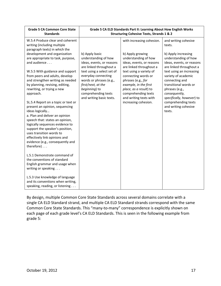| <b>Grade 5 CA Common Core State</b><br><b>Standards</b>                                                                                                                                                                                                                                                                                                                                                                                                                                                                                                                          | Grade 5 CA ELD Standards Part II: Learning About How English Works<br><b>Structuring Cohesive Texts, Strands 1 &amp; 2</b>                                                                                                                                               |                                                                                                                                                                                                                                                                                                                                   |                                                                                                                                                                                                                                                                                                                                                              |  |
|----------------------------------------------------------------------------------------------------------------------------------------------------------------------------------------------------------------------------------------------------------------------------------------------------------------------------------------------------------------------------------------------------------------------------------------------------------------------------------------------------------------------------------------------------------------------------------|--------------------------------------------------------------------------------------------------------------------------------------------------------------------------------------------------------------------------------------------------------------------------|-----------------------------------------------------------------------------------------------------------------------------------------------------------------------------------------------------------------------------------------------------------------------------------------------------------------------------------|--------------------------------------------------------------------------------------------------------------------------------------------------------------------------------------------------------------------------------------------------------------------------------------------------------------------------------------------------------------|--|
| W.5.4 Produce clear and coherent<br>writing (including multiple<br>paragraph texts) in which the<br>development and organization<br>are appropriate to task, purpose,<br>and audience<br>W.5.5 With guidance and support<br>from peers and adults, develop<br>and strengthen writing as needed<br>by planning, revising, editing,<br>rewriting, or trying a new<br>approach.<br>SL.5.4 Report on a topic or text or<br>present an opinion, sequencing<br>ideas logically<br>a. Plan and deliver an opinion<br>speech that: states an opinion,<br>logically sequences evidence to | b) Apply basic<br>understanding of how<br>ideas, events, or reasons<br>are linked throughout a<br>text using a select set of<br>everyday connecting<br>words or phrases (e.g.,<br>first/next, at the<br>beginning) to<br>comprehending texts<br>and writing basic texts. | with increasing cohesion.<br>b) Apply growing<br>understanding of how<br>ideas, events, or reasons<br>are linked throughout a<br>text using a variety of<br>connecting words or<br>phrases (e.g., for<br>example, in the first<br>place, as a result) to<br>comprehending texts<br>and writing texts with<br>increasing cohesion. | and writing cohesive<br>texts.<br>b) Apply increasing<br>understanding of how<br>ideas, events, or reasons<br>are linked throughout a<br>text using an increasing<br>variety of academic<br>connecting and<br>transitional words or<br>phrases (e.g.,<br>consequently,<br>specifically, however) to<br>comprehending texts<br>and writing cohesive<br>texts. |  |
| support the speaker's position,<br>uses transition words to<br>effectively link opinions and<br>evidence (e.g., consequently and<br>therefore)                                                                                                                                                                                                                                                                                                                                                                                                                                   |                                                                                                                                                                                                                                                                          |                                                                                                                                                                                                                                                                                                                                   |                                                                                                                                                                                                                                                                                                                                                              |  |
| L.5.1 Demonstrate command of<br>the conventions of standard<br>English grammar and usage when<br>writing or speaking                                                                                                                                                                                                                                                                                                                                                                                                                                                             |                                                                                                                                                                                                                                                                          |                                                                                                                                                                                                                                                                                                                                   |                                                                                                                                                                                                                                                                                                                                                              |  |
| L.5.3 Use knowledge of language<br>and its conventions when writing,<br>speaking, reading, or listening                                                                                                                                                                                                                                                                                                                                                                                                                                                                          |                                                                                                                                                                                                                                                                          |                                                                                                                                                                                                                                                                                                                                   |                                                                                                                                                                                                                                                                                                                                                              |  |

By design, multiple Common Core State Standards across several domains correlate with a single CA ELD Standard strand, and multiple CA ELD Standard strands correspond with the same Common Core State Standards. This "many-to-many" correspondence is explicitly shown on each page of each grade level's CA ELD Standards. This is seen in the following example from grade 5: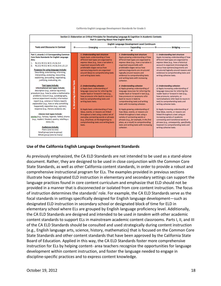|  | California English Language Development Standards for Grade 5 |
|--|---------------------------------------------------------------|
|--|---------------------------------------------------------------|

| Section 2: Elaboration on Critical Principles for Developing Language & Cognition in Academic Contexts<br>Part II: Learning About How English Works                                                                                                                                                                                                                                                                                                                                                                                                                                                                                                                                                                                                                                                                                                                                                                                                                                                                                                                                           |                                              |                                                                                                                                                                                                                                                                                                                                                                                                                                                                                                                                                                                                                                                                                                                                                                                                                                                     |                                                                                                                                                                                                                                                                                                                                                                                                                                                                                                                                                                                                                                                                                                                                                                                                                                                                                                                                                                          |                                                                                                                                                                                                                                                                                                                                                                                                                                                                                                                                                                                                                                                                                                                                                                                                                                                                                                                                                                |
|-----------------------------------------------------------------------------------------------------------------------------------------------------------------------------------------------------------------------------------------------------------------------------------------------------------------------------------------------------------------------------------------------------------------------------------------------------------------------------------------------------------------------------------------------------------------------------------------------------------------------------------------------------------------------------------------------------------------------------------------------------------------------------------------------------------------------------------------------------------------------------------------------------------------------------------------------------------------------------------------------------------------------------------------------------------------------------------------------|----------------------------------------------|-----------------------------------------------------------------------------------------------------------------------------------------------------------------------------------------------------------------------------------------------------------------------------------------------------------------------------------------------------------------------------------------------------------------------------------------------------------------------------------------------------------------------------------------------------------------------------------------------------------------------------------------------------------------------------------------------------------------------------------------------------------------------------------------------------------------------------------------------------|--------------------------------------------------------------------------------------------------------------------------------------------------------------------------------------------------------------------------------------------------------------------------------------------------------------------------------------------------------------------------------------------------------------------------------------------------------------------------------------------------------------------------------------------------------------------------------------------------------------------------------------------------------------------------------------------------------------------------------------------------------------------------------------------------------------------------------------------------------------------------------------------------------------------------------------------------------------------------|----------------------------------------------------------------------------------------------------------------------------------------------------------------------------------------------------------------------------------------------------------------------------------------------------------------------------------------------------------------------------------------------------------------------------------------------------------------------------------------------------------------------------------------------------------------------------------------------------------------------------------------------------------------------------------------------------------------------------------------------------------------------------------------------------------------------------------------------------------------------------------------------------------------------------------------------------------------|
| <b>Texts and Discourse in Context</b>                                                                                                                                                                                                                                                                                                                                                                                                                                                                                                                                                                                                                                                                                                                                                                                                                                                                                                                                                                                                                                                         | English Language Development Level Continuum |                                                                                                                                                                                                                                                                                                                                                                                                                                                                                                                                                                                                                                                                                                                                                                                                                                                     |                                                                                                                                                                                                                                                                                                                                                                                                                                                                                                                                                                                                                                                                                                                                                                                                                                                                                                                                                                          |                                                                                                                                                                                                                                                                                                                                                                                                                                                                                                                                                                                                                                                                                                                                                                                                                                                                                                                                                                |
| Part II, strands 1-2 Corresponding Common<br><b>Core State Standards for English Language</b><br>Arts:<br>RL.5.5; RI.5.5; W.5.1-5; SL.5.4<br>1.<br>RL.5.5; RI.5.5; W.5.1-4; SL.5.4; L.5.1,3<br>Purposes for using language include:<br>Describing, entertaining, informing,<br>interpreting, analyzing, recounting,<br>explaining, persuading, negotiating,<br>justifying, evaluating, etc.<br><b>Text types include:</b><br>Informational text types include:<br>description (e.g., science log entry);<br>procedure (e.g., how to solve a mathematics<br>problem); recount (e.g., autobiography,<br>science experiment results); information<br>report (e.g., science or history report);<br>explanation (e.g., how or why something<br>happened); exposition (e.g., opinion);<br>response (e.g., literary analysis); etc.<br>Literary text types include:<br>stories (e.g., fantasy, legends, fables); drama<br>(e.g., readers' theater); poetry; retelling a<br>story; etc.<br><b>Audiences include:</b><br>Peers (one-to-one)<br>Small group (one-to-group)<br>Whole group (one-to-many) | <b>Cohesive Texts</b><br>A. Structuring      | 1. Understanding text structure<br>Apply basic understanding of how<br>different text types are organized to<br>express ideas (e.g., how a narrative is<br>organized sequentially with<br>predictable stages versus how<br>opinions/arguments are organized<br>around ideas) to comprehending texts<br>and writing basic texts.<br>2. Understanding cohesion<br>a) Apply basic understanding of<br>language resources for referring the<br>reader back or forward in text (e.g.,<br>how pronouns refer back to nouns in<br>text) to comprehending texts and<br>writing basic texts.<br>b) Apply basic understanding of how<br>ideas, events, or reasons are linked<br>throughout a text using a select set of<br>everyday connecting words or phrases<br>(e.g., first/next, at the beginning) to<br>comprehending texts and writing basic<br>texts. | 1. Understanding text structure<br>Apply growing understanding of how<br>different text types are organized to<br>express ideas (e.g., how a narrative is<br>organized sequentially with<br>predictable stages versus how<br>opinions/arguments are structured<br>logically around reasons and<br>evidence) to comprehending texts<br>and writing texts with increasing<br>cohesion.<br>2. Understanding cohesion<br>a) Apply growing understanding of<br>language resources for referring the<br>reader back or forward in text (e.g.,<br>how pronouns or synonyms refer<br>back to nouns in text) to<br>comprehending texts and writing<br>texts with increasing cohesion.<br>b) Apply growing understanding of<br>how ideas, events, or reasons are<br>linked throughout a text using a<br>variety of connecting words or<br>phrases (e.g., for example, in the first<br>place, as a result) to comprehending<br>texts and writing texts with increasing<br>cohesion. | 1. Understanding text structure<br>Apply increasing understanding of how<br>different text types are organized to<br>express ideas (e.g., how a historical<br>account is organized chronologically<br>versus how opinions/arguments are<br>structured logically around reasons and<br>evidence) to comprehending texts and<br>writing cohesive texts.<br>2. Understanding cohesion<br>a) Apply increasing understanding of<br>language resources for referring the<br>reader back or forward in text (e.g.,<br>how pronouns, synonyms, or<br>nominalizations refer back to nouns in<br>text) to comprehending texts and<br>writing cohesive texts.<br>b) Apply increasing understanding of<br>how ideas, events, or reasons are<br>linked throughout a text using an<br>increasing variety of academic<br>connecting and transitional words or<br>phrases (e.g., consequently, specifically,<br>however) to comprehending texts and<br>writing cohesive texts. |

#### **Use of the California English Language Development Standards**

As previously emphasized, the CA ELD Standards are not intended to be used as a stand-alone document. Rather, they are designed to be used in close conjunction with the Common Core State Standards, as well as other California content standards, in order to provide a robust and comprehensive instructional program for ELs. The examples provided in previous sections illustrate how designated ELD instruction in elementary and secondary settings can support the language practices found in core content curriculum and emphasize that ELD should not be provided in a manner that is disconnected or isolated from core content instruction. The focus of instruction determines the standards' role. For example, the CA ELD Standards serve as the focal standards in settings specifically designed for English language development—such as designated ELD instruction in secondary school or designated block of time for ELD in elementary school where ELs are grouped by English language proficiency level. Additionally, the CA ELD Standards are designed and intended to be used *in tandem with* other academic content standards to support ELs in mainstream academic content classrooms. Parts I, II, and III of the CA ELD Standards should be consulted and used strategically during content instruction (e.g., English language arts, science, history, mathematics) that is focused on the Common Core State Standards and other content standards that have been approved by the California State Board of Education. Applied in this way, the CA ELD Standards foster more comprehensive instruction for ELs by helping content- area teachers recognize the opportunities for language development within content instruction, and foster the language needed to engage in discipline-specific practices and to express content knowledge.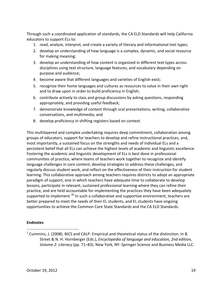Through such a coordinated application of standards, the CA ELD Standards will help California educators to support ELs to:

- 1. read, analyze, interpret, and create a variety of literary and informational text types;
- 2. develop an understanding of how language is a complex, dynamic, and social resource for making meaning;
- 3. develop an understanding of how content is organized in different text types across disciplines using text structure, language features, and vocabulary depending on purpose and audience;
- 4. become aware that different languages and varieties of English exist;
- 5. recognize their home languages and cultures as resources to value in their own right and to draw upon in order to build proficiency in English;
- 6. contribute actively to class and group discussions by asking questions, responding appropriately, and providing useful feedback;
- 7. demonstrate knowledge of content through oral presentations, writing, collaborative conversations, and multimedia; and
- 8. develop proficiency in shifting registers based on context.

This multilayered and complex undertaking requires deep commitment, collaboration among groups of educators, support for teachers to develop and refine instructional practices, and, most importantly, a sustained focus on the strengths and needs of individual ELs and a persistent belief that all ELs can achieve the highest levels of academic and linguistic excellence. Fostering the academic and linguistic development of ELs is best done in professional communities of practice, where teams of teachers work together to recognize and identify language challenges in core content, develop strategies to address these challenges, and regularly discuss student work, and reflect on the effectiveness of their instruction for student learning. This collaborative approach among teachers requires districts to adopt an appropriate paradigm of support, one in which teachers have adequate time to collaborate to develop lessons, participate in relevant, sustained professional learning where they can refine their practice, and are held accountable for implementing the practices they have been adequately supported to implement.<sup>18</sup> In such a collaborative and supportive environment, teachers are better prepared to meet the needs of their EL students, and EL students have ongoing opportunities to achieve the Common Core State Standards and the CA ELD Standards.

#### **Endnotes**

 $1$  Cummins, J. (2008). BICS and CALP: Empirical and theoretical status of the distinction. In B. Street & N. H. Hornberger (Eds.), *Encyclopedia of language and education, 2nd edition, Volume 2: Literacy* (pp. 71–83). New York, NY: Springer Science and Business Media LLC.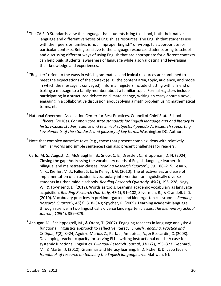$2$  The CA ELD Standards view the language that students bring to school, both their native language and different varieties of English, as resources. The English that students use with their peers or families is not "improper English" or wrong. It is appropriate for particular contexts. Being sensitive to the language resources students bring to school and discussing different ways of using English that are appropriate for different contexts can help build students' awareness of language while also validating and leveraging their knowledge and experiences.

<u> 1989 - Andrea San Andrea San Andrea San Andrea San Andrea San Andrea San Andrea San Andrea San Andrea San An</u>

- <sup>3</sup> "Register" refers to the ways in which grammatical and lexical resources are combined to meet the expectations of the context (e. g., the content area, topic, audience, and mode in which the message is conveyed). Informal registers include chatting with a friend or texting a message to a family member about a familiar topic. Formal registers include participating in a structured debate on climate change, writing an essay about a novel, engaging in a collaborative discussion about solving a math problem using mathematical terms, etc.
- <sup>4</sup> National Governors Association Center for Best Practices, Council of Chief State School Officers. (2010a). *Common core state standards for English language arts and literacy in history/social studies, science and technical subjects*: *Appendix A: Research supporting key elements of the standards and glossary of key terms*. Washington DC: Author.
- $5$  Note that complex narrative texts (e.g., those that present complex ideas with relatively familiar words and simple sentences) can also present challenges for readers.
- $6$  Carlo, M. S., August, D., McGlaughlin, B., Snow, C. E., Dressler, C., & Lippman, D. N. (2004). Closing the gap: Addressing the vocabulary needs of English-language learners in bilingual and mainstream classes. *Reading Research Quarterly, 39,* 188–215; Lesaux, N. K., Kieffer, M. J., Faller, S. E., & Kelley, J. G. (2010). The effectiveness and ease of implementation of an academic vocabulary intervention for linguistically diverse students in urban middle schools. *Reading Research Quarterly*, *45*(2), 196–228; Nagy, W., & Townsend, D. (2012). Words as tools: Learning academic vocabulary as language acquisition. *Reading Research Quarterly, 47*(1), 91–108; Silverman, R., & Crandell, J. D. (2010). Vocabulary practices in prekindergarten and kindergarten classrooms. *Reading Research Quarterly, 45*(3), 318–340; Spycher, P. (2009). Learning academic language through science in two linguistically diverse kindergarten classes. *The Elementary School Journal*, *109*(4), 359–379.
- $<sup>7</sup>$  Achugar, M., Schleppegrell, M., & Oteza, T. (2007). Engaging teachers in language analysis: A</sup> functional linguistics approach to reflective literacy. *English Teaching: Practice and Critique, 6*(2), 8–24; Aguirre-Muñoz, Z., Park, J., Amabisca, A., & Boscardin, C. (2008). Developing teacher capacity for serving ELLs' writing instructional needs: A case for systemic functional linguistics. *Bilingual Research Journal*, *31*(1/2), 295–323; Gebhard, M., & Martin, J. (2010). Grammar and literacy learning. In D. Fisher & D. Lapp (Eds.), *Handbook of research on teaching the English language arts*. Mahwah, NJ: